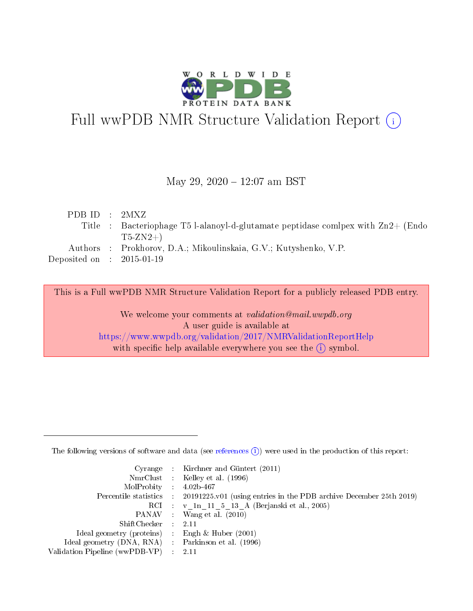

# Full wwPDB NMR Structure Validation Report (i)

#### May 29, 2020 - 12:07 am BST

| PDBID : 2MXZ                        |                                                                                    |
|-------------------------------------|------------------------------------------------------------------------------------|
|                                     | Title : Bacteriophage T5 l-alanoyl-d-glutamate peptidase comipex with $Zn2+$ (Endo |
|                                     | $T5-ZN2+$                                                                          |
|                                     | Authors : Prokhorov, D.A.; Mikoulinskaia, G.V.; Kutyshenko, V.P.                   |
| Deposited on $\;$ : 2015-01-19 $\;$ |                                                                                    |
|                                     |                                                                                    |

This is a Full wwPDB NMR Structure Validation Report for a publicly released PDB entry.

We welcome your comments at validation@mail.wwpdb.org A user guide is available at <https://www.wwpdb.org/validation/2017/NMRValidationReportHelp> with specific help available everywhere you see the  $(i)$  symbol.

The following versions of software and data (see [references](https://www.wwpdb.org/validation/2017/NMRValidationReportHelp#references)  $(1)$ ) were used in the production of this report:

|                                                     | Cyrange : Kirchner and Güntert (2011)                                                      |
|-----------------------------------------------------|--------------------------------------------------------------------------------------------|
|                                                     | NmrClust : Kelley et al. (1996)                                                            |
| $MolProbability$ 4.02b-467                          |                                                                                            |
|                                                     | Percentile statistics : 20191225.v01 (using entries in the PDB archive December 25th 2019) |
|                                                     | RCI : v 1n 11 5 13 A (Berjanski et al., 2005)                                              |
|                                                     | PANAV : Wang et al. (2010)                                                                 |
| $ShiftChecker$ : 2.11                               |                                                                                            |
| Ideal geometry (proteins) : Engh $\&$ Huber (2001)  |                                                                                            |
| Ideal geometry (DNA, RNA) : Parkinson et al. (1996) |                                                                                            |
| Validation Pipeline (wwPDB-VP)                      | - 2.11                                                                                     |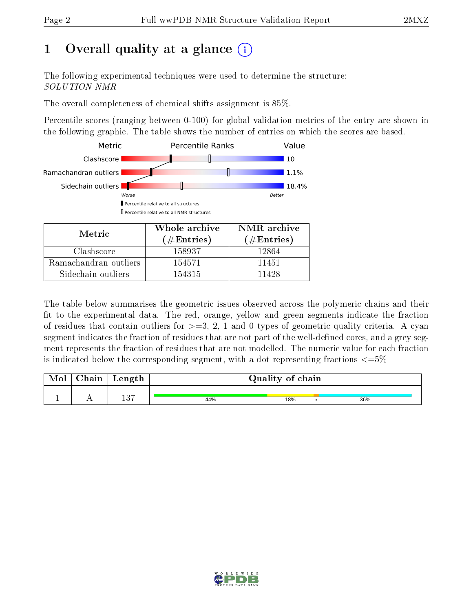# 1 [O](https://www.wwpdb.org/validation/2017/NMRValidationReportHelp#overall_quality)verall quality at a glance  $(i)$

The following experimental techniques were used to determine the structure: SOLUTION NMR

The overall completeness of chemical shifts assignment is 85%.

Percentile scores (ranging between 0-100) for global validation metrics of the entry are shown in the following graphic. The table shows the number of entries on which the scores are based.



| Metric                | (# $\rm{Entries}$ ) | $(\#Entries)$ |
|-----------------------|---------------------|---------------|
| Clashscore            | 158937              | 12864         |
| Ramachandran outliers | 154571              | 11451         |
| Sidechain outliers    | 154315              | 11428         |

The table below summarises the geometric issues observed across the polymeric chains and their fit to the experimental data. The red, orange, yellow and green segments indicate the fraction of residues that contain outliers for  $>=3, 2, 1$  and 0 types of geometric quality criteria. A cyan segment indicates the fraction of residues that are not part of the well-defined cores, and a grey segment represents the fraction of residues that are not modelled. The numeric value for each fraction is indicated below the corresponding segment, with a dot representing fractions  $\epsilon = 5\%$ 

| Mol | Chain | Length | Quality of chain |     |     |  |  |  |
|-----|-------|--------|------------------|-----|-----|--|--|--|
|     |       | 137    | 44%              | 18% | 36% |  |  |  |

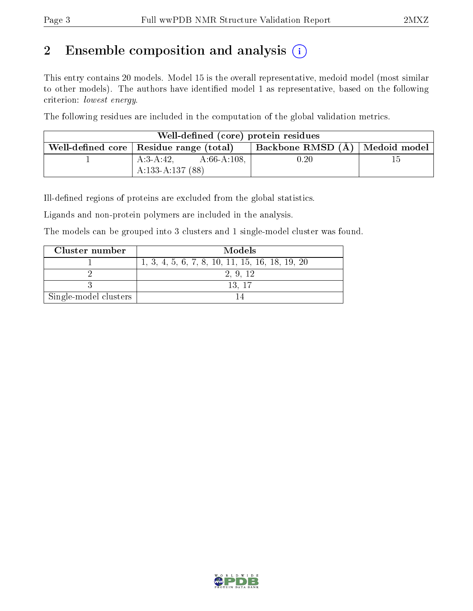# 2 Ensemble composition and analysis  $(i)$

This entry contains 20 models. Model 15 is the overall representative, medoid model (most similar to other models). The authors have identified model 1 as representative, based on the following criterion: lowest energy.

The following residues are included in the computation of the global validation metrics.

| Well-defined (core) protein residues |                                                                                 |          |     |  |  |  |  |
|--------------------------------------|---------------------------------------------------------------------------------|----------|-----|--|--|--|--|
|                                      | Backbone RMSD (A)   Medoid model  <br>Well-defined core   Residue range (total) |          |     |  |  |  |  |
|                                      | $A:66-A:108$ ,<br>$A:3-A:42$                                                    | $0.20\,$ | ה ו |  |  |  |  |
|                                      | $A:133-A:137(88)$                                                               |          |     |  |  |  |  |

Ill-defined regions of proteins are excluded from the global statistics.

Ligands and non-protein polymers are included in the analysis.

The models can be grouped into 3 clusters and 1 single-model cluster was found.

| Cluster number        | Models                                            |
|-----------------------|---------------------------------------------------|
|                       | $1, 3, 4, 5, 6, 7, 8, 10, 11, 15, 16, 18, 19, 20$ |
|                       | 2, 9, 12                                          |
|                       | -13.-17                                           |
| Single-model clusters |                                                   |

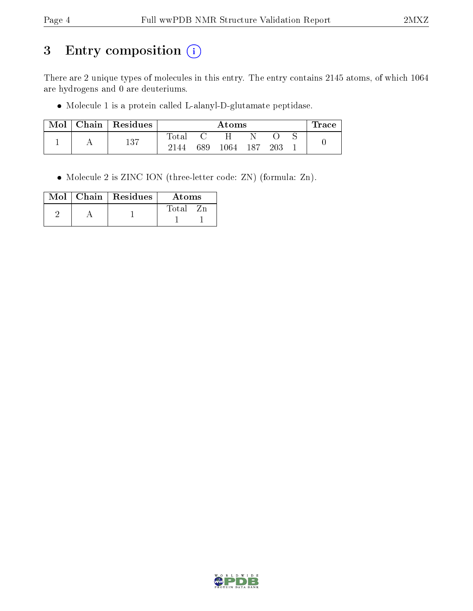# 3 Entry composition (i)

There are 2 unique types of molecules in this entry. The entry contains 2145 atoms, of which 1064 are hydrogens and 0 are deuteriums.

Molecule 1 is a protein called L-alanyl-D-glutamate peptidase.

| Mol | Chain | $\vert$ Residues | Atoms       |          |      |     |  | l'race |  |
|-----|-------|------------------|-------------|----------|------|-----|--|--------|--|
|     |       |                  | $\rm Total$ |          |      |     |  |        |  |
|     | 137   | 2144             | 689         | $1064\,$ | -187 | 203 |  |        |  |

Molecule 2 is ZINC ION (three-letter code: ZN) (formula: Zn).

|  | $Mol$   Chain   Residues | Atoms |
|--|--------------------------|-------|
|  |                          | Total |
|  |                          |       |

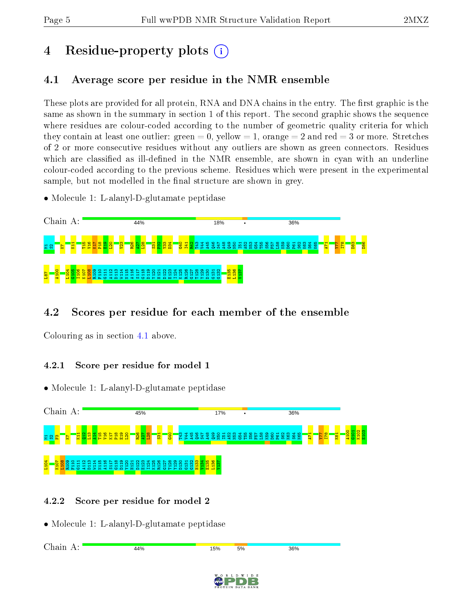# 4 Residue-property plots  $\binom{1}{1}$

# <span id="page-4-0"></span>4.1 Average score per residue in the NMR ensemble

These plots are provided for all protein, RNA and DNA chains in the entry. The first graphic is the same as shown in the summary in section 1 of this report. The second graphic shows the sequence where residues are colour-coded according to the number of geometric quality criteria for which they contain at least one outlier: green  $= 0$ , yellow  $= 1$ , orange  $= 2$  and red  $= 3$  or more. Stretches of 2 or more consecutive residues without any outliers are shown as green connectors. Residues which are classified as ill-defined in the NMR ensemble, are shown in cyan with an underline colour-coded according to the previous scheme. Residues which were present in the experimental sample, but not modelled in the final structure are shown in grey.

• Molecule 1: L-alanyl-D-glutamate peptidase



# 4.2 Scores per residue for each member of the ensemble

Colouring as in section [4.1](#page-4-0) above.

## 4.2.1 Score per residue for model 1

• Molecule 1: L-alanyl-D-glutamate peptidase



## 4.2.2 Score per residue for model 2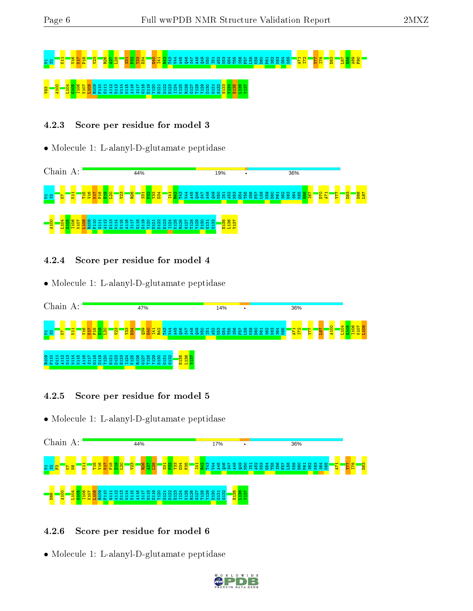# m2 **S22 R26 A27 R50 P32 R26 S42 R34 S4**2 S54 S47 S47 S48 S48 S48 S48 S48 S48 S48 S64 S68 S68 S68 S68 P62 **F5** S56 **F58 B69 S6**<br>E8 V93 A100 L104 G105 I106 K107 L108 R109 F110 G111 A112 D113 W114 N115 A116 S117 G118 D119 Y120 H121 D122 E123 I124 K125 R126 G127 T128 Y129 D130 G131 G132 H133 V134 E135 L136 V137

## 4.2.3 Score per residue for model 3

#### • Molecule 1: L-alanyl-D-glutamate peptidase



#### 4.2.4 Score per residue for model 4

• Molecule 1: L-alanyl-D-glutamate peptidase



## 4.2.5 Score per residue for model 5

• Molecule 1: L-alanyl-D-glutamate peptidase



## 4.2.6 Score per residue for model 6

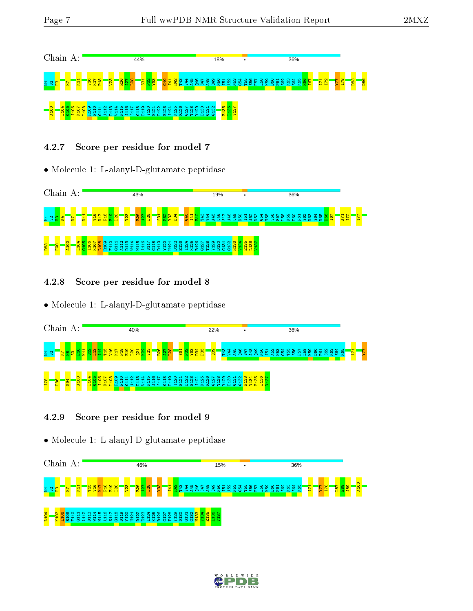

#### 4.2.7 Score per residue for model 7

• Molecule 1: L-alanyl-D-glutamate peptidase



4.2.8 Score per residue for model 8

• Molecule 1: L-alanyl-D-glutamate peptidase



#### 4.2.9 Score per residue for model 9



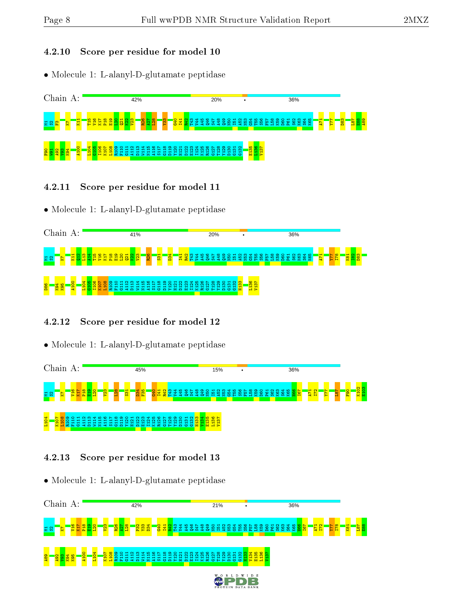#### 4.2.10 Score per residue for model 10

• Molecule 1: L-alanyl-D-glutamate peptidase



- 4.2.11 Score per residue for model 11
- Molecule 1: L-alanyl-D-glutamate peptidase



#### 4.2.12 Score per residue for model 12

• Molecule 1: L-alanyl-D-glutamate peptidase



#### 4.2.13 Score per residue for model 13

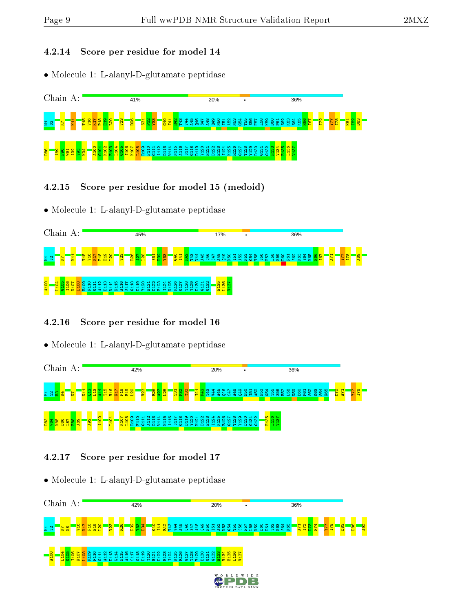#### 4.2.14 Score per residue for model 14

• Molecule 1: L-alanyl-D-glutamate peptidase



- 4.2.15 Score per residue for model 15 (medoid)
- Molecule 1: L-alanyl-D-glutamate peptidase



#### 4.2.16 Score per residue for model 16

• Molecule 1: L-alanyl-D-glutamate peptidase



#### 4.2.17 Score per residue for model 17

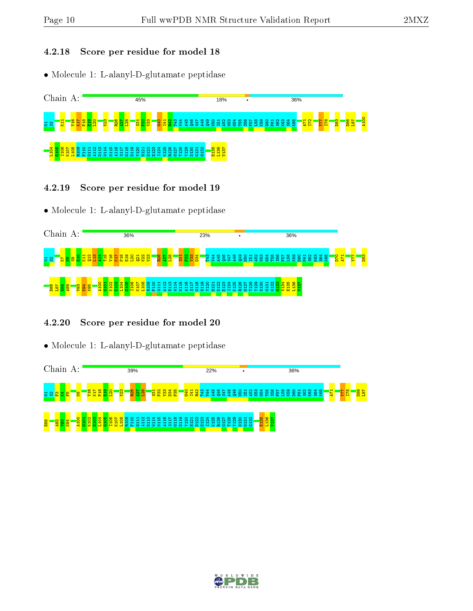#### 4.2.18 Score per residue for model 18

• Molecule 1: L-alanyl-D-glutamate peptidase



- 4.2.19 Score per residue for model 19
- Molecule 1: L-alanyl-D-glutamate peptidase



#### 4.2.20 Score per residue for model 20



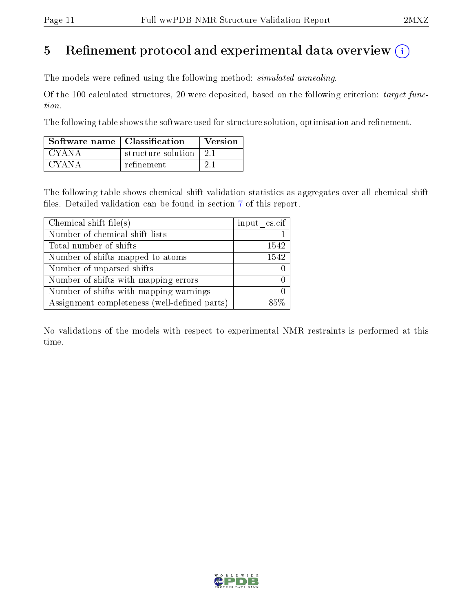# 5 Refinement protocol and experimental data overview  $\binom{1}{k}$

The models were refined using the following method: *simulated annealing*.

Of the 100 calculated structures, 20 were deposited, based on the following criterion: target function.

The following table shows the software used for structure solution, optimisation and refinement.

| Software name   Classification |                    | Version |
|--------------------------------|--------------------|---------|
| CYANA                          | structure solution | 21      |
| CYANA                          | refinement.        |         |

The following table shows chemical shift validation statistics as aggregates over all chemical shift files. Detailed validation can be found in section [7](#page-16-0) of this report.

| Chemical shift file(s)                       | input cs.cif |
|----------------------------------------------|--------------|
| Number of chemical shift lists               |              |
| Total number of shifts                       | 1542         |
| Number of shifts mapped to atoms             | 1542         |
| Number of unparsed shifts                    |              |
| Number of shifts with mapping errors         |              |
| Number of shifts with mapping warnings       |              |
| Assignment completeness (well-defined parts) |              |

No validations of the models with respect to experimental NMR restraints is performed at this time.

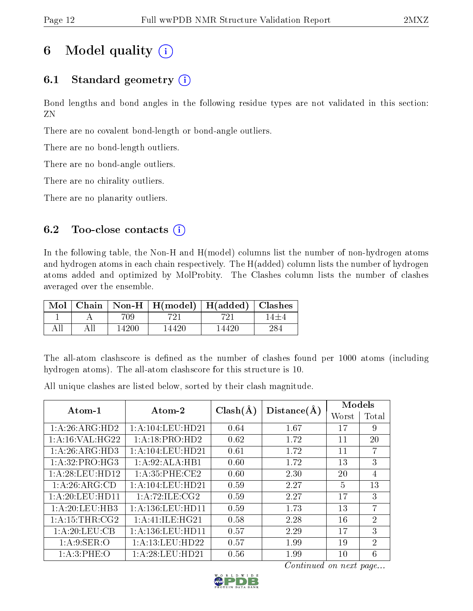# 6 Model quality  $(i)$

# 6.1 Standard geometry  $(i)$

Bond lengths and bond angles in the following residue types are not validated in this section: ZN

There are no covalent bond-length or bond-angle outliers.

There are no bond-length outliers.

There are no bond-angle outliers.

There are no chirality outliers.

There are no planarity outliers.

# 6.2 Too-close contacts  $(i)$

In the following table, the Non-H and H(model) columns list the number of non-hydrogen atoms and hydrogen atoms in each chain respectively. The H(added) column lists the number of hydrogen atoms added and optimized by MolProbity. The Clashes column lists the number of clashes averaged over the ensemble.

| Mol |       | Chain   Non-H   $H(model)$   $H(added)$   Clashes |       |     |
|-----|-------|---------------------------------------------------|-------|-----|
|     | 709.  |                                                   |       |     |
|     | 14200 | 14420                                             | 14420 | 284 |

The all-atom clashscore is defined as the number of clashes found per 1000 atoms (including hydrogen atoms). The all-atom clashscore for this structure is 10.

All unique clashes are listed below, sorted by their clash magnitude.

| Atom-1            | Atom-2                         | $Clash(\AA)$ | Distance(A) | Models        |                |
|-------------------|--------------------------------|--------------|-------------|---------------|----------------|
|                   |                                |              |             | Worst         | Total          |
| 1:A:26:ARG:HD2    | $1:$ A $:104:$ LEU $:$ HD $21$ | 0.64         | 1.67        | 17            | 9              |
| 1: A:16: VAL:HG22 | 1: A:18: PRO:HD2               | 0.62         | 1.72        | 11            | 20             |
| 1:A:26:ARG:HD3    | 1: A: 104: LEU: HD21           | 0.61         | 1.72        | 11            | $\overline{7}$ |
| 1:A:32:PRO:HG3    | 1:A:92:ALA:HB1                 | 0.60         | 1.72        | 13            | 3              |
| 1:A:28:LEU:HD12   | 1: A:35:PHE:CE2                | 0.60         | 2.30        | 20            | $\overline{4}$ |
| 1:A:26:ARG:CD     | 1:A:104:LEU:HD21               | 0.59         | 2.27        | $\frac{5}{2}$ | 13             |
| 1: A:20:LEU:HD11  | 1: A:72: ILE: CG2              | 0.59         | 2.27        | 17            | 3              |
| 1:A:20:LEU:HB3    | 1: A: 136: LEU: HD11           | 0.59         | 1.73        | 13            | 7              |
| 1: A:15:THR:CG2   | 1: A: 41: ILE: HG21            | 0.58         | 2.28        | 16            | $\overline{2}$ |
| 1:A:20:LEU:CB     | 1: A: 136: LEU: HD11           | 0.57         | 2.29        | 17            | 3              |
| 1: A:9: SER:O     | 1: A:13: LEU: HD22             | 0.57         | 1.99        | 19            | $\overline{2}$ |
| 1:A:3:PHE:O       | 1: A:28:LEU:HD21               | 0.56         | 1.99        | 10            | 6              |

Continued on next page...

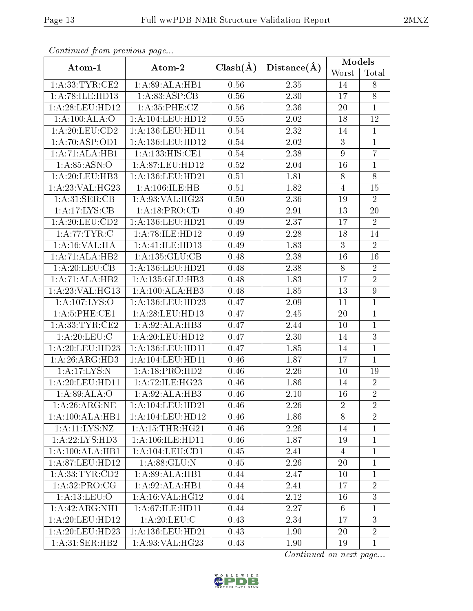|                                   |                              |              |                   | Models           |                                 |
|-----------------------------------|------------------------------|--------------|-------------------|------------------|---------------------------------|
| Atom-1                            | Atom-2                       | $Clash(\AA)$ | $Distance(\AA)$   | Worst            | $\operatorname{\mathsf{Total}}$ |
| 1: A:33:TYR:CE2                   | 1:A:89:ALA:HB1               | 0.56         | 2.35              | 14               | $8\,$                           |
| 1:A:78:ILE:HD13                   | 1: A:83: ASP:CB              | 0.56         | 2.30              | 17               | $8\,$                           |
| 1:A:28:LEU:HD12                   | 1: A:35:PHE: CZ              | $0.56\,$     | 2.36              | $20\,$           | $\mathbf{1}$                    |
| 1:A:100:ALA:O                     | 1:A:104:LEU:HD12             | 0.55         | 2.02              | $18\,$           | $12\,$                          |
| 1: A:20:LEU:CD2                   | 1:A:136:LEU:HD11             | 0.54         | 2.32              | 14               | $\mathbf{1}$                    |
| 1: A:70: ASP:OD1                  | 1:A:136:LEU:HD12             | $0.54\,$     | 2.02              | $\mathbf{3}$     | $\mathbf{1}$                    |
| 1:A:71:ALA:HB1                    | $1:A:\overline{133:HIS:CE1}$ | $0.54\,$     | 2.38              | $\boldsymbol{9}$ | $\overline{7}$                  |
| 1: A:85:ASN:O                     | 1:A:87:LEU:HD12              | $0.52\,$     | 2.04              | $16\,$           | $\mathbf 1$                     |
| 1:A:20:LEU:HB3                    | 1:A:136:LEU:HD21             | 0.51         | 1.81              | $8\,$            | $\overline{8}$                  |
| 1:A:23:VAL:HG23                   | 1:A:106:ILE:HB               | 0.51         | 1.82              | $\overline{4}$   | 15                              |
| 1: A:31: SER:CB                   | 1:A:93:VAL:HG23              | 0.50         | 2.36              | 19               | $\overline{2}$                  |
| 1: A:17: LYS: CB                  | 1:A:18:PRO:CD                | 0.49         | 2.91              | 13               | 20                              |
| 1: A:20:LEU:CD2                   | $1: A: 136:$ LEU:HD21        | 0.49         | 2.37              | 17               | $\sqrt{2}$                      |
| 1:A:77:TYR:C                      | 1: A:78: ILE: HD12           | 0.49         | 2.28              | 18               | 14                              |
| 1: A:16: VAL:HA                   | 1:A:41:ILE:HD13              | 0.49         | 1.83              | $\sqrt{3}$       | $\sqrt{2}$                      |
| 1:A:71:ALA:HB2                    | 1:A:135:GLU:CB               | 0.48         | 2.38              | 16               | 16                              |
| 1:A:20:LEU:CB                     | 1:A:136:LEU:HD21             | 0.48         | 2.38              | $8\,$            | $\sqrt{2}$                      |
| 1:A:71:ALA:HB2                    | 1:A:135:GLU:HB3              | 0.48         | 1.83              | 17               | $\overline{2}$                  |
| 1: A:23: VAL:HG13                 | 1:A:100:ALA:HB3              | 0.48         | 1.85              | 13               | $\overline{9}$                  |
| $1:A:107:\overline{\text{LYS:O}}$ | 1:A:136:LEU:HD23             | 0.47         | 2.09              | 11               | $\mathbf{1}$                    |
| 1: A:5: PHE:CE1                   | 1: A:28:LEU:HD13             | 0.47         | 2.45              | 20               | $\mathbf 1$                     |
| 1: A: 33: TYR: CE2                | 1:A:92:ALA:HB3               | 0.47         | 2.44              | 10               | $\mathbf{1}$                    |
| 1: A:20: LEU: C                   | 1: A:20:LEU:HD12             | 0.47         | $\overline{2}.30$ | 14               | $\overline{3}$                  |
| 1: A:20:LEU:HD23                  | 1:A:136:LEU:HD11             | 0.47         | 1.85              | 14               | $\mathbf{1}$                    |
| 1: A:26: ARG:HD3                  | 1:A:104:LEU:HD11             | 0.46         | 1.87              | 17               | $\mathbf{1}$                    |
| 1:A:17:LYS:N                      | 1: A:18: PRO:HD2             | 0.46         | 2.26              | 10               | 19                              |
| 1: A:20:LEU:HD11                  | 1:A:72:ILE:HG23              | 0.46         | 1.86              | 14               | $\sqrt{2}$                      |
| 1:A:89:ALA:O                      | $1:\overline{A:92:ALA:HB3}$  | 0.46         | 2.10              | 16               | $\overline{2}$                  |
| 1:A:26:ARG:NE                     | 1:A:104:LEU:HD21             | 0.46         | 2.26              | $\overline{2}$   | $\overline{2}$                  |
| $1:A:100:ALA:H\overline{B1}$      | 1:A:104:LEU:HD12             | 0.46         | 1.86              | 8                | $\overline{2}$                  |
| 1:A:11:LYS:NZ                     | 1: A:15:THR:HG21             | 0.46         | 2.26              | 14               | $\mathbf{1}$                    |
| 1:A:22:LYS:HD3                    | 1: A: 106: ILE: HD11         | 0.46         | 1.87              | 19               | $\mathbf{1}$                    |
| 1:A:100:ALA:HB1                   | 1:A:104:LEU:CD1              | 0.45         | 2.41              | $\overline{4}$   | $\mathbf{1}$                    |
| 1:A:87:LEU:HD12                   | 1: A:88: GLU:N               | 0.45         | 2.26              | 20               | $\mathbf{1}$                    |
| 1: A: 33: TYR: CD2                | 1:A:89:ALA:HB1               | 0.44         | 2.47              | 10               | $\mathbf{1}$                    |
| 1:A:32:PRO:CG                     | 1:A:92:ALA:HB1               | 0.44         | 2.41              | 17               | $\overline{2}$                  |
| 1: A: 13: LEU: O                  | 1: A:16: VAL:HG12            | 0.44         | 2.12              | 16               | 3                               |
| 1:A:42:ARG:NH1                    | 1:A:67:ILE:HD11              | 0.44         | 2.27              | 6                | $\mathbf{1}$                    |
| 1:A:20:LEU:HD12                   | 1: A:20: LEU: C              | 0.43         | 2.34              | 17               | 3                               |
| 1:A:20:LEU:HD23                   | 1:A:136:LEU:HD21             | 0.43         | 1.90              | 20               | $\sqrt{2}$                      |
| 1:A:31:SER:HB2                    | 1:A:93:VAL:HG23              | 0.43         | 1.90              | 19               | $\mathbf{1}$                    |

Continued from previous page...

Continued on next page...

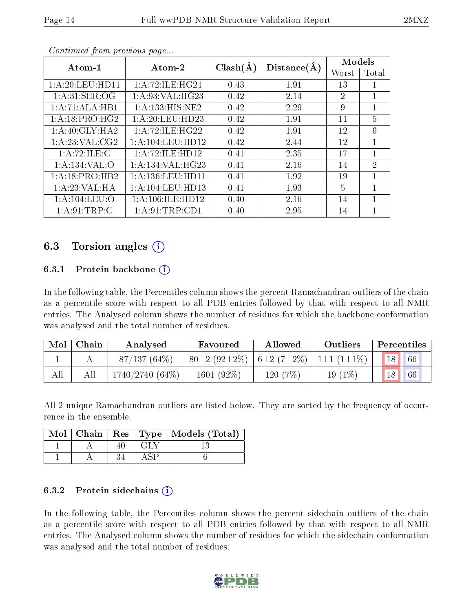|                             |                      |              |             | Models         |                |
|-----------------------------|----------------------|--------------|-------------|----------------|----------------|
| Atom-1                      | Atom-2               | $Clash(\AA)$ | Distance(A) | Worst          | Total          |
| 1:A:20:LEU:HDI1             | 1: A:72: ILE: HG21   | 0.43         | 1.91        | 13             |                |
| 1: A:31: SER:OG             | 1: A:93: VAL: HG23   | 0.42         | 2.14        | 2              | $\mathbf{1}$   |
| 1:A:71:ALA:HB1              | 1:A:133:HIS:NE2      | 0.42         | 2.29        | 9              | 1              |
| 1:A:18:PRO:HG2              | 1: A:20:LEU:HD23     | 0.42         | 1.91        | 11             | $\overline{5}$ |
| 1:A:40:GLY:HA2              | 1: A:72: ILE: HG22   | 0.42         | 1.91        | 12             | 6              |
| 1:A:23:VAL:CG2              | 1: A: 104: LEU: HD12 | 0.42         | 2.44        | 12             | 1              |
| 1:A:72:ILE:C                | 1: A:72: ILE: HD12   | 0.41         | 2.35        | 17             | 1              |
| 1:A:134:VAL:O               | 1: A: 134: VAL: HG23 | 0.41         | 2.16        | 14             | $\overline{2}$ |
| $1:A:18:PRO:H\overline{B2}$ | 1: A: 136: LEU: HD11 | 0.41         | 1.92        | 19             | 1              |
| 1:A:23:VAL:HA               | 1:A:104:LEU:HD13     | 0.41         | 1.93        | $\overline{5}$ | 1              |
| 1: A: 104: LEU: O           | 1:A:106:ILE:HD12     | 0.40         | 2.16        | 14             | 1              |
| 1: A:91:TRP:C               | 1: A:91:TRP:CD1      | 0.40         | 2.95        | 14             |                |

Continued from previous page...

# 6.3 Torsion angles (i)

#### 6.3.1 Protein backbone  $(i)$

In the following table, the Percentiles column shows the percent Ramachandran outliers of the chain as a percentile score with respect to all PDB entries followed by that with respect to all NMR entries. The Analysed column shows the number of residues for which the backbone conformation was analysed and the total number of residues.

| Mol | Chain | Analysed        | Favoured           | Allowed          | Outliers         | Percentiles |
|-----|-------|-----------------|--------------------|------------------|------------------|-------------|
|     |       | $87/137(64\%)$  | $80\pm2(92\pm2\%)$ | $6\pm2(7\pm2\%)$ | $1\pm1(1\pm1\%)$ | 18<br>66    |
| All |       | 1740/2740 (64%) | 1601 (92%)         | 120 (7%)         | $19(1\%)$        | 18<br>66    |

All 2 unique Ramachandran outliers are listed below. They are sorted by the frequency of occurrence in the ensemble.

|  |                | Mol   Chain   Res   Type   Models (Total) |
|--|----------------|-------------------------------------------|
|  | GEY            |                                           |
|  | $\triangle$ SP |                                           |

#### 6.3.2 Protein sidechains  $\hat{1}$

In the following table, the Percentiles column shows the percent sidechain outliers of the chain as a percentile score with respect to all PDB entries followed by that with respect to all NMR entries. The Analysed column shows the number of residues for which the sidechain conformation was analysed and the total number of residues.

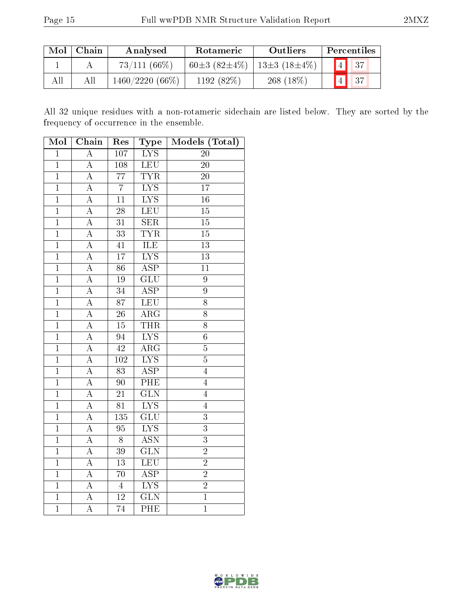| Mol | Chain | Analysed          | <b>Rotameric</b>   | Outliers                    | Percentiles          |
|-----|-------|-------------------|--------------------|-----------------------------|----------------------|
|     |       | $73/111(66\%)$    | $60\pm3(82\pm4\%)$ | $\pm 13 \pm 3 (18 \pm 4\%)$ | $\vert$ 4 $\vert$ 37 |
| All |       | $1460/2220(66\%)$ | 1192(82%)          | $268(18\%)$                 | $\blacksquare$ 4 37  |

All 32 unique residues with a non-rotameric sidechain are listed below. They are sorted by the frequency of occurrence in the ensemble.

| Mol            | Chain              | Res              | Type                    | Models (Total)   |
|----------------|--------------------|------------------|-------------------------|------------------|
| $\overline{1}$ | $\overline{\rm A}$ | $\overline{107}$ | $\overline{\text{LYS}}$ | $\overline{20}$  |
| $\overline{1}$ | $\overline{A}$     | 108              | LEU                     | $\overline{20}$  |
| $\overline{1}$ | $\boldsymbol{A}$   | $\overline{77}$  | <b>TYR</b>              | $\overline{20}$  |
| $\overline{1}$ | $\overline{\rm A}$ | $\overline{7}$   | $\overline{\text{LYS}}$ | $\overline{17}$  |
| $\overline{1}$ | $\overline{\rm A}$ | 11               | $\overline{\text{LYS}}$ | 16               |
| $\overline{1}$ | $\overline{\rm A}$ | $\overline{28}$  | $\overline{\text{LEU}}$ | $\overline{15}$  |
| $\overline{1}$ | $\overline{\rm A}$ | 31               | $\overline{\text{SER}}$ | 15               |
| $\mathbf{1}$   | $\overline{\rm A}$ | $\overline{33}$  | <b>TYR</b>              | 15               |
| $\mathbf{1}$   | $\overline{\rm A}$ | 41               | ILE                     | $\overline{13}$  |
| $\overline{1}$ | $\overline{\rm A}$ | $\overline{1}7$  | $\overline{\text{LYS}}$ | $\overline{13}$  |
| $\overline{1}$ | $\overline{\rm A}$ | $\overline{86}$  | $\overline{\rm ASP}$    | $\overline{11}$  |
| $\mathbf{1}$   | $\boldsymbol{A}$   | 19               | $\overline{{\rm GLU}}$  | $\boldsymbol{9}$ |
| $\overline{1}$ | $\overline{\rm A}$ | $\overline{34}$  | $\overline{\text{ASP}}$ | $\overline{9}$   |
| $\overline{1}$ | $\overline{\rm A}$ | $\overline{87}$  | LEU                     | $\overline{8}$   |
| $\overline{1}$ | A                  | $26\,$           | $\overline{\rm{ARG}}$   | 8                |
| $\mathbf{1}$   | $\overline{\rm A}$ | 15               | <b>THR</b>              | 8                |
| $\overline{1}$ | $\overline{\rm A}$ | 94               | $\overline{\text{LYS}}$ | $\overline{6}$   |
| $\overline{1}$ | $\overline{\rm A}$ | $\overline{42}$  | $\overline{\rm{ARG}}$   | $\overline{5}$   |
| $\mathbf{1}$   | A                  | 102              | <b>LYS</b>              | $\overline{5}$   |
| $\overline{1}$ | $\overline{\rm A}$ | 83               | $\overline{\text{ASP}}$ | $\overline{4}$   |
| $\overline{1}$ | $\overline{\rm A}$ | $\overline{90}$  | PHE                     | $\overline{4}$   |
| $\overline{1}$ | $\boldsymbol{A}$   | 21               | $\overline{\text{GLN}}$ | $\overline{4}$   |
| $\mathbf{1}$   | $\overline{\rm A}$ | 81               | $\overline{\text{LYS}}$ | $\overline{4}$   |
| $\overline{1}$ | $\boldsymbol{A}$   | 135              | GLU                     | $\overline{3}$   |
| $\overline{1}$ | $\overline{\rm A}$ | 95               | $\overline{\text{LYS}}$ | $\overline{3}$   |
| $\overline{1}$ | $\overline{\rm A}$ | 8                | <b>ASN</b>              | $\overline{3}$   |
| $\overline{1}$ | $\overline{\rm A}$ | 39               | $\overline{\text{GLN}}$ | $\overline{2}$   |
| $\overline{1}$ | $\overline{\rm A}$ | $\overline{13}$  | LEU                     | $\overline{2}$   |
| $\overline{1}$ | $\overline{\rm A}$ | 70               | $\overline{\text{ASP}}$ | $\overline{2}$   |
| $\overline{1}$ | $\boldsymbol{A}$   | $\overline{4}$   | $\overline{\text{LYS}}$ | $\overline{2}$   |
| $\mathbf{1}$   | $\overline{\rm A}$ | 12               | $\overline{\text{GLN}}$ | $\overline{1}$   |
| $\overline{1}$ | $\overline{\rm A}$ | 74               | PHE                     | $\overline{1}$   |

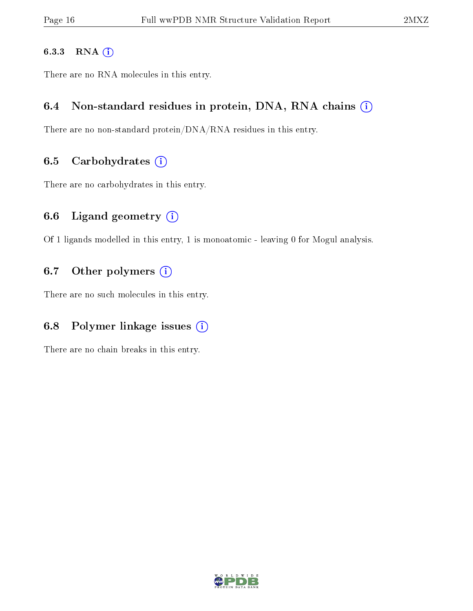#### 6.3.3 RNA [O](https://www.wwpdb.org/validation/2017/NMRValidationReportHelp#rna)i

There are no RNA molecules in this entry.

#### 6.4 Non-standard residues in protein, DNA, RNA chains  $(i)$

There are no non-standard protein/DNA/RNA residues in this entry.

#### 6.5 Carbohydrates  $(i)$

There are no carbohydrates in this entry.

#### 6.6 Ligand geometry  $(i)$

Of 1 ligands modelled in this entry, 1 is monoatomic - leaving 0 for Mogul analysis.

## 6.7 [O](https://www.wwpdb.org/validation/2017/NMRValidationReportHelp#nonstandard_residues_and_ligands)ther polymers  $(i)$

There are no such molecules in this entry.

# 6.8 Polymer linkage issues  $(i)$

There are no chain breaks in this entry.

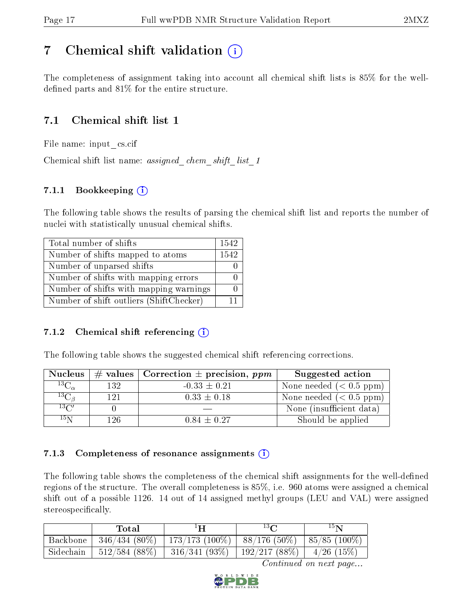# <span id="page-16-0"></span>7 Chemical shift validation  $\left( \begin{array}{c} \overline{1} \end{array} \right)$

The completeness of assignment taking into account all chemical shift lists is 85% for the welldefined parts and  $81\%$  for the entire structure.

# 7.1 Chemical shift list 1

File name: input\_cs.cif

Chemical shift list name: *assigned\_chem\_shift\_list\_1* 

# 7.1.1 Bookkeeping (i)

The following table shows the results of parsing the chemical shift list and reports the number of nuclei with statistically unusual chemical shifts.

| Total number of shifts                  | 1542 |
|-----------------------------------------|------|
| Number of shifts mapped to atoms        | 1542 |
| Number of unparsed shifts               |      |
| Number of shifts with mapping errors    |      |
| Number of shifts with mapping warnings  |      |
| Number of shift outliers (ShiftChecker) | 11   |

#### 7.1.2 Chemical shift referencing  $(i)$

The following table shows the suggested chemical shift referencing corrections.

| <b>Nucleus</b>      |     | # values   Correction $\pm$ precision, ppm | Suggested action         |
|---------------------|-----|--------------------------------------------|--------------------------|
| ${}^{13}C_{\alpha}$ | 132 | $-0.33 \pm 0.21$                           | None needed $(0.5 ppm)$  |
| ${}^{13}C_{\beta}$  | 121 | $0.33 \pm 0.18$                            | None needed $(0.5 ppm)$  |
| $13\text{C}$        |     |                                            | None (insufficient data) |
| $15\,\mathrm{N}$    | 126 | $0.84 \pm 0.27$                            | Should be applied        |

#### 7.1.3 Completeness of resonance assignments  $(i)$

The following table shows the completeness of the chemical shift assignments for the well-defined regions of the structure. The overall completeness is 85%, i.e. 960 atoms were assigned a chemical shift out of a possible 1126. 14 out of 14 assigned methyl groups (LEU and VAL) were assigned stereospecifically.

|                | Total | ŀН                                                                | $^{13}$ $\cap$ | $15\mathrm{N}$ |
|----------------|-------|-------------------------------------------------------------------|----------------|----------------|
| Backbone       |       | $-346/434 (80\%)$   173/173 (100%)   88/176 (50%)   85/85 (100%)  |                |                |
| $^+$ Sidechain |       | $-512/584$ (88\%)   316/341 (93\%)   192/217 (88\%)   4/26 (15\%) |                |                |

Continued on next page...

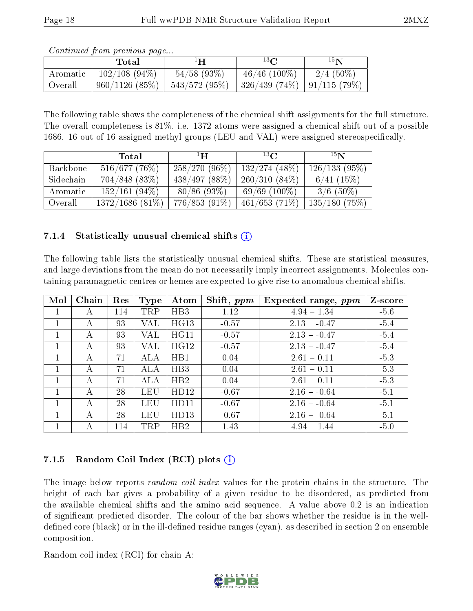| Continued from previous page |  |  |
|------------------------------|--|--|
|                              |  |  |

|          | $\rm Total$     | ŀН              | $13\Omega$                               | 15 <sub>N</sub> |
|----------|-----------------|-----------------|------------------------------------------|-----------------|
| Aromatic | $102/108(94\%)$ | $54/58$ (93\%)  | $46/46$ (100\%)                          | $2/4(50\%)$     |
| Overall  | 960/1126(85%)   | $543/572(95\%)$ | $\mid$ 326/439 (74%) $\mid$ 91/115 (79%) |                 |

The following table shows the completeness of the chemical shift assignments for the full structure. The overall completeness is 81%, i.e. 1372 atoms were assigned a chemical shift out of a possible 1686. 16 out of 16 assigned methyl groups (LEU and VAL) were assigned stereospecifically.

|           | Total            | $\mathbf{H}^1$  | $^{13}$ C       | $15\mathbf{N}$ |
|-----------|------------------|-----------------|-----------------|----------------|
| Backbone  | 516/677(76%)     | $258/270(96\%)$ | $132/274(48\%)$ | 126/133(95%)   |
| Sidechain | $704/848$ (83\%) | 438/497(88%)    | $260/310(84\%)$ | 6/41(15%)      |
| Aromatic  | $152/161(94\%)$  | $80/86$ (93\%)  | $69/69(100\%)$  | $3/6$ (50%)    |
| Overall   | 1372/1686(81%)   | $776/853(91\%)$ | 461/653(71%)    | 135/180(75%)   |

#### 7.1.4 Statistically unusual chemical shifts  $(i)$

The following table lists the statistically unusual chemical shifts. These are statistical measures, and large deviations from the mean do not necessarily imply incorrect assignments. Molecules containing paramagnetic centres or hemes are expected to give rise to anomalous chemical shifts.

| Mol          | Chain | Res | Type | Atom             | Shift, $ppm$ | Expected range, $ppm$ | Z-score |
|--------------|-------|-----|------|------------------|--------------|-----------------------|---------|
|              |       | 114 | TRP  | HB3              | 1.12         | $4.94 - 1.34$         | $-5.6$  |
|              | А     | 93  | VAL  | HG13             | $-0.57$      | $2.13 - 0.47$         | $-5.4$  |
|              | А     | 93  | VAL  | HG11             | $-0.57$      | $2.13 - 0.47$         | $-5.4$  |
|              | А     | 93  | VAL  | HG12             | $-0.57$      | $2.13 - 0.47$         | $-5.4$  |
|              | А     | 71  | ALA  | H <sub>B</sub> 1 | 0.04         | $2.61 - 0.11$         | $-5.3$  |
| $\mathbf{1}$ | A     | 71  | ALA  | HB3              | 0.04         | $2.61 - 0.11$         | $-5.3$  |
| 1            | А     | 71  | ALA  | HB2              | 0.04         | $2.61 - 0.11$         | $-5.3$  |
|              | А     | 28  | LEU  | HD12             | $-0.67$      | $2.16 - 0.64$         | $-5.1$  |
|              | А     | 28  | LEU  | HD11             | $-0.67$      | $2.16 - 0.64$         | $-5.1$  |
| 1            | А     | 28  | LEU  | HD13             | $-0.67$      | $2.16 - 0.64$         | $-5.1$  |
|              |       | 114 | TRP  | HB2              | 1.43         | $4.94 - 1.44$         | $-5.0$  |

## 7.1.5 Random Coil Index  $(RCI)$  plots  $(i)$

The image below reports *random coil index* values for the protein chains in the structure. The height of each bar gives a probability of a given residue to be disordered, as predicted from the available chemical shifts and the amino acid sequence. A value above 0.2 is an indication of signicant predicted disorder. The colour of the bar shows whether the residue is in the welldefined core (black) or in the ill-defined residue ranges (cyan), as described in section 2 on ensemble composition.

Random coil index (RCI) for chain A: